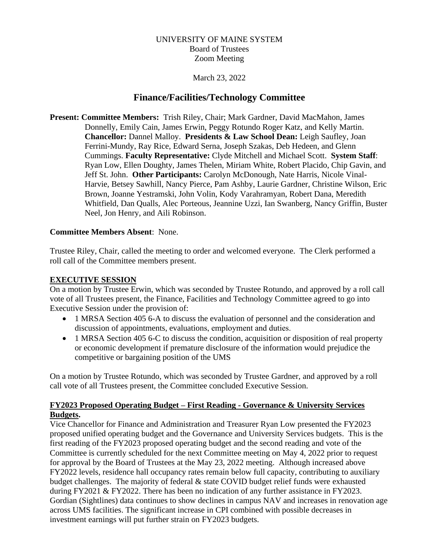# UNIVERSITY OF MAINE SYSTEM Board of Trustees Zoom Meeting

March 23, 2022

# **Finance/Facilities/Technology Committee**

**Present: Committee Members:** Trish Riley, Chair; Mark Gardner, David MacMahon, James Donnelly, Emily Cain, James Erwin, Peggy Rotundo Roger Katz, and Kelly Martin. **Chancellor:** Dannel Malloy. **Presidents & Law School Dean:** Leigh Saufley, Joan Ferrini-Mundy, Ray Rice, Edward Serna, Joseph Szakas, Deb Hedeen, and Glenn Cummings. **Faculty Representative:** Clyde Mitchell and Michael Scott. **System Staff**: Ryan Low, Ellen Doughty, James Thelen, Miriam White, Robert Placido, Chip Gavin, and Jeff St. John. **Other Participants:** Carolyn McDonough, Nate Harris, Nicole Vinal-Harvie, Betsey Sawhill, Nancy Pierce, Pam Ashby, Laurie Gardner, Christine Wilson, Eric Brown, Joanne Yestramski, John Volin, Kody Varahramyan, Robert Dana, Meredith Whitfield, Dan Qualls, Alec Porteous, Jeannine Uzzi, Ian Swanberg, Nancy Griffin, Buster Neel, Jon Henry, and Aili Robinson.

# **Committee Members Absent**: None.

Trustee Riley, Chair, called the meeting to order and welcomed everyone. The Clerk performed a roll call of the Committee members present.

# **EXECUTIVE SESSION**

On a motion by Trustee Erwin, which was seconded by Trustee Rotundo, and approved by a roll call vote of all Trustees present, the Finance, Facilities and Technology Committee agreed to go into Executive Session under the provision of:

- 1 MRSA Section 405 6-A to discuss the evaluation of personnel and the consideration and discussion of appointments, evaluations, employment and duties.
- 1 MRSA Section 405 6-C to discuss the condition, acquisition or disposition of real property or economic development if premature disclosure of the information would prejudice the competitive or bargaining position of the UMS

On a motion by Trustee Rotundo, which was seconded by Trustee Gardner, and approved by a roll call vote of all Trustees present, the Committee concluded Executive Session.

# **FY2023 Proposed Operating Budget – First Reading - Governance & University Services Budgets.**

Vice Chancellor for Finance and Administration and Treasurer Ryan Low presented the FY2023 proposed unified operating budget and the Governance and University Services budgets. This is the first reading of the FY2023 proposed operating budget and the second reading and vote of the Committee is currently scheduled for the next Committee meeting on May 4, 2022 prior to request for approval by the Board of Trustees at the May 23, 2022 meeting. Although increased above FY2022 levels, residence hall occupancy rates remain below full capacity, contributing to auxiliary budget challenges. The majority of federal & state COVID budget relief funds were exhausted during FY2021 & FY2022. There has been no indication of any further assistance in FY2023. Gordian (Sightlines) data continues to show declines in campus NAV and increases in renovation age across UMS facilities. The significant increase in CPI combined with possible decreases in investment earnings will put further strain on FY2023 budgets.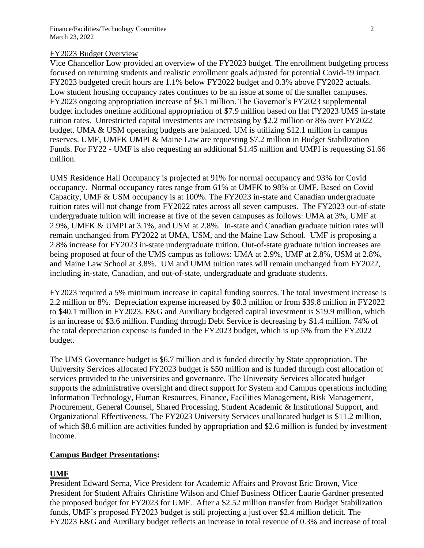#### FY2023 Budget Overview

Vice Chancellor Low provided an overview of the FY2023 budget. The enrollment budgeting process focused on returning students and realistic enrollment goals adjusted for potential Covid-19 impact. FY2023 budgeted credit hours are 1.1% below FY2022 budget and 0.3% above FY2022 actuals. Low student housing occupancy rates continues to be an issue at some of the smaller campuses. FY2023 ongoing appropriation increase of \$6.1 million. The Governor's FY2023 supplemental budget includes onetime additional appropriation of \$7.9 million based on flat FY2023 UMS in-state tuition rates. Unrestricted capital investments are increasing by \$2.2 million or 8% over FY2022 budget. UMA & USM operating budgets are balanced. UM is utilizing \$12.1 million in campus reserves. UMF, UMFK UMPI & Maine Law are requesting \$7.2 million in Budget Stabilization Funds. For FY22 - UMF is also requesting an additional \$1.45 million and UMPI is requesting \$1.66 million.

UMS Residence Hall Occupancy is projected at 91% for normal occupancy and 93% for Covid occupancy. Normal occupancy rates range from 61% at UMFK to 98% at UMF. Based on Covid Capacity, UMF & USM occupancy is at 100%. The FY2023 in-state and Canadian undergraduate tuition rates will not change from FY2022 rates across all seven campuses. The FY2023 out-of-state undergraduate tuition will increase at five of the seven campuses as follows: UMA at 3%, UMF at 2.9%, UMFK & UMPI at 3.1%, and USM at 2.8%. In-state and Canadian graduate tuition rates will remain unchanged from FY2022 at UMA, USM, and the Maine Law School. UMF is proposing a 2.8% increase for FY2023 in-state undergraduate tuition. Out-of-state graduate tuition increases are being proposed at four of the UMS campus as follows: UMA at 2.9%, UMF at 2.8%, USM at 2.8%, and Maine Law School at 3.8%. UM and UMM tuition rates will remain unchanged from FY2022, including in-state, Canadian, and out-of-state, undergraduate and graduate students.

FY2023 required a 5% minimum increase in capital funding sources. The total investment increase is 2.2 million or 8%. Depreciation expense increased by \$0.3 million or from \$39.8 million in FY2022 to \$40.1 million in FY2023. E&G and Auxiliary budgeted capital investment is \$19.9 million, which is an increase of \$3.6 million. Funding through Debt Service is decreasing by \$1.4 million. 74% of the total depreciation expense is funded in the FY2023 budget, which is up 5% from the FY2022 budget.

The UMS Governance budget is \$6.7 million and is funded directly by State appropriation. The University Services allocated FY2023 budget is \$50 million and is funded through cost allocation of services provided to the universities and governance. The University Services allocated budget supports the administrative oversight and direct support for System and Campus operations including Information Technology, Human Resources, Finance, Facilities Management, Risk Management, Procurement, General Counsel, Shared Processing, Student Academic & Institutional Support, and Organizational Effectiveness. The FY2023 University Services unallocated budget is \$11.2 million, of which \$8.6 million are activities funded by appropriation and \$2.6 million is funded by investment income.

### **Campus Budget Presentations:**

# **UMF**

President Edward Serna, Vice President for Academic Affairs and Provost Eric Brown, Vice President for Student Affairs Christine Wilson and Chief Business Officer Laurie Gardner presented the proposed budget for FY2023 for UMF. After a \$2.52 million transfer from Budget Stabilization funds, UMF's proposed FY2023 budget is still projecting a just over \$2.4 million deficit. The FY2023 E&G and Auxiliary budget reflects an increase in total revenue of 0.3% and increase of total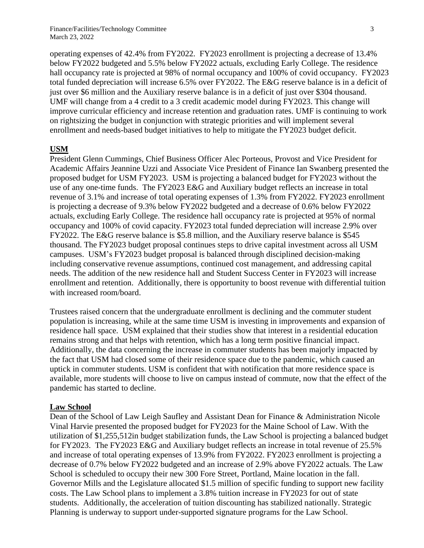operating expenses of 42.4% from FY2022. FY2023 enrollment is projecting a decrease of 13.4% below FY2022 budgeted and 5.5% below FY2022 actuals, excluding Early College. The residence hall occupancy rate is projected at 98% of normal occupancy and 100% of covid occupancy. FY2023 total funded depreciation will increase 6.5% over FY2022. The E&G reserve balance is in a deficit of just over \$6 million and the Auxiliary reserve balance is in a deficit of just over \$304 thousand. UMF will change from a 4 credit to a 3 credit academic model during FY2023. This change will improve curricular efficiency and increase retention and graduation rates. UMF is continuing to work on rightsizing the budget in conjunction with strategic priorities and will implement several enrollment and needs-based budget initiatives to help to mitigate the FY2023 budget deficit.

#### **USM**

President Glenn Cummings, Chief Business Officer Alec Porteous, Provost and Vice President for Academic Affairs Jeannine Uzzi and Associate Vice President of Finance Ian Swanberg presented the proposed budget for USM FY2023. USM is projecting a balanced budget for FY2023 without the use of any one-time funds. The FY2023 E&G and Auxiliary budget reflects an increase in total revenue of 3.1% and increase of total operating expenses of 1.3% from FY2022. FY2023 enrollment is projecting a decrease of 9.3% below FY2022 budgeted and a decrease of 0.6% below FY2022 actuals, excluding Early College. The residence hall occupancy rate is projected at 95% of normal occupancy and 100% of covid capacity. FY2023 total funded depreciation will increase 2.9% over FY2022. The E&G reserve balance is \$5.8 million, and the Auxiliary reserve balance is \$545 thousand. The FY2023 budget proposal continues steps to drive capital investment across all USM campuses. USM's FY2023 budget proposal is balanced through disciplined decision-making including conservative revenue assumptions, continued cost management, and addressing capital needs. The addition of the new residence hall and Student Success Center in FY2023 will increase enrollment and retention. Additionally, there is opportunity to boost revenue with differential tuition with increased room/board.

Trustees raised concern that the undergraduate enrollment is declining and the commuter student population is increasing, while at the same time USM is investing in improvements and expansion of residence hall space. USM explained that their studies show that interest in a residential education remains strong and that helps with retention, which has a long term positive financial impact. Additionally, the data concerning the increase in commuter students has been majorly impacted by the fact that USM had closed some of their residence space due to the pandemic, which caused an uptick in commuter students. USM is confident that with notification that more residence space is available, more students will choose to live on campus instead of commute, now that the effect of the pandemic has started to decline.

### **Law School**

Dean of the School of Law Leigh Saufley and Assistant Dean for Finance & Administration Nicole Vinal Harvie presented the proposed budget for FY2023 for the Maine School of Law. With the utilization of \$1,255,512in budget stabilization funds, the Law School is projecting a balanced budget for FY2023. The FY2023 E&G and Auxiliary budget reflects an increase in total revenue of 25.5% and increase of total operating expenses of 13.9% from FY2022. FY2023 enrollment is projecting a decrease of 0.7% below FY2022 budgeted and an increase of 2.9% above FY2022 actuals. The Law School is scheduled to occupy their new 300 Fore Street, Portland, Maine location in the fall. Governor Mills and the Legislature allocated \$1.5 million of specific funding to support new facility costs. The Law School plans to implement a 3.8% tuition increase in FY2023 for out of state students. Additionally, the acceleration of tuition discounting has stabilized nationally. Strategic Planning is underway to support under-supported signature programs for the Law School.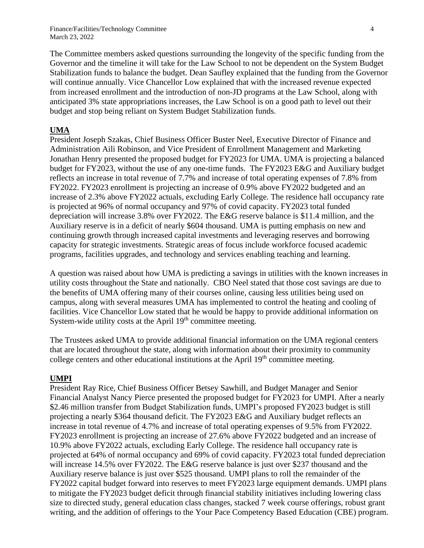The Committee members asked questions surrounding the longevity of the specific funding from the Governor and the timeline it will take for the Law School to not be dependent on the System Budget Stabilization funds to balance the budget. Dean Saufley explained that the funding from the Governor will continue annually. Vice Chancellor Low explained that with the increased revenue expected from increased enrollment and the introduction of non-JD programs at the Law School, along with anticipated 3% state appropriations increases, the Law School is on a good path to level out their budget and stop being reliant on System Budget Stabilization funds.

### **UMA**

President Joseph Szakas, Chief Business Officer Buster Neel, Executive Director of Finance and Administration Aili Robinson, and Vice President of Enrollment Management and Marketing Jonathan Henry presented the proposed budget for FY2023 for UMA. UMA is projecting a balanced budget for FY2023, without the use of any one-time funds. The FY2023 E&G and Auxiliary budget reflects an increase in total revenue of 7.7% and increase of total operating expenses of 7.8% from FY2022. FY2023 enrollment is projecting an increase of 0.9% above FY2022 budgeted and an increase of 2.3% above FY2022 actuals, excluding Early College. The residence hall occupancy rate is projected at 96% of normal occupancy and 97% of covid capacity. FY2023 total funded depreciation will increase 3.8% over FY2022. The E&G reserve balance is \$11.4 million, and the Auxiliary reserve is in a deficit of nearly \$604 thousand. UMA is putting emphasis on new and continuing growth through increased capital investments and leveraging reserves and borrowing capacity for strategic investments. Strategic areas of focus include workforce focused academic programs, facilities upgrades, and technology and services enabling teaching and learning.

A question was raised about how UMA is predicting a savings in utilities with the known increases in utility costs throughout the State and nationally. CBO Neel stated that those cost savings are due to the benefits of UMA offering many of their courses online, causing less utilities being used on campus, along with several measures UMA has implemented to control the heating and cooling of facilities. Vice Chancellor Low stated that he would be happy to provide additional information on System-wide utility costs at the April 19<sup>th</sup> committee meeting.

The Trustees asked UMA to provide additional financial information on the UMA regional centers that are located throughout the state, along with information about their proximity to community college centers and other educational institutions at the April  $19<sup>th</sup>$  committee meeting.

### **UMPI**

President Ray Rice, Chief Business Officer Betsey Sawhill, and Budget Manager and Senior Financial Analyst Nancy Pierce presented the proposed budget for FY2023 for UMPI. After a nearly \$2.46 million transfer from Budget Stabilization funds, UMPI's proposed FY2023 budget is still projecting a nearly \$364 thousand deficit. The FY2023 E&G and Auxiliary budget reflects an increase in total revenue of 4.7% and increase of total operating expenses of 9.5% from FY2022. FY2023 enrollment is projecting an increase of 27.6% above FY2022 budgeted and an increase of 10.9% above FY2022 actuals, excluding Early College. The residence hall occupancy rate is projected at 64% of normal occupancy and 69% of covid capacity. FY2023 total funded depreciation will increase 14.5% over FY2022. The E&G reserve balance is just over \$237 thousand and the Auxiliary reserve balance is just over \$525 thousand. UMPI plans to roll the remainder of the FY2022 capital budget forward into reserves to meet FY2023 large equipment demands. UMPI plans to mitigate the FY2023 budget deficit through financial stability initiatives including lowering class size to directed study, general education class changes, stacked 7 week course offerings, robust grant writing, and the addition of offerings to the Your Pace Competency Based Education (CBE) program.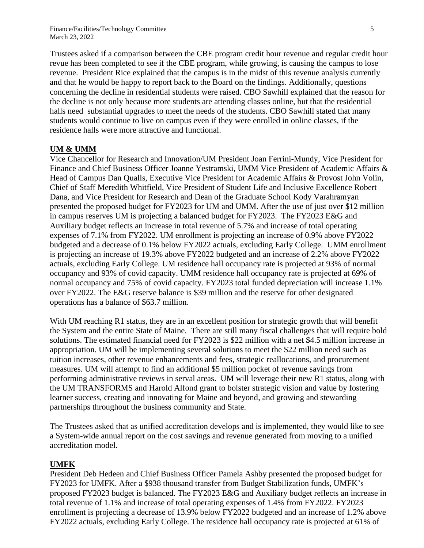Trustees asked if a comparison between the CBE program credit hour revenue and regular credit hour revue has been completed to see if the CBE program, while growing, is causing the campus to lose revenue. President Rice explained that the campus is in the midst of this revenue analysis currently and that he would be happy to report back to the Board on the findings. Additionally, questions concerning the decline in residential students were raised. CBO Sawhill explained that the reason for the decline is not only because more students are attending classes online, but that the residential halls need substantial upgrades to meet the needs of the students. CBO Sawhill stated that many students would continue to live on campus even if they were enrolled in online classes, if the residence halls were more attractive and functional.

#### **UM & UMM**

Vice Chancellor for Research and Innovation/UM President Joan Ferrini-Mundy, Vice President for Finance and Chief Business Officer Joanne Yestramski, UMM Vice President of Academic Affairs & Head of Campus Dan Qualls, Executive Vice President for Academic Affairs & Provost John Volin, Chief of Staff Meredith Whitfield, Vice President of Student Life and Inclusive Excellence Robert Dana, and Vice President for Research and Dean of the Graduate School Kody Varahramyan presented the proposed budget for FY2023 for UM and UMM. After the use of just over \$12 million in campus reserves UM is projecting a balanced budget for FY2023. The FY2023 E&G and Auxiliary budget reflects an increase in total revenue of 5.7% and increase of total operating expenses of 7.1% from FY2022. UM enrollment is projecting an increase of 0.9% above FY2022 budgeted and a decrease of 0.1% below FY2022 actuals, excluding Early College. UMM enrollment is projecting an increase of 19.3% above FY2022 budgeted and an increase of 2.2% above FY2022 actuals, excluding Early College. UM residence hall occupancy rate is projected at 93% of normal occupancy and 93% of covid capacity. UMM residence hall occupancy rate is projected at 69% of normal occupancy and 75% of covid capacity. FY2023 total funded depreciation will increase 1.1% over FY2022. The E&G reserve balance is \$39 million and the reserve for other designated operations has a balance of \$63.7 million.

With UM reaching R1 status, they are in an excellent position for strategic growth that will benefit the System and the entire State of Maine. There are still many fiscal challenges that will require bold solutions. The estimated financial need for FY2023 is \$22 million with a net \$4.5 million increase in appropriation. UM will be implementing several solutions to meet the \$22 million need such as tuition increases, other revenue enhancements and fees, strategic reallocations, and procurement measures. UM will attempt to find an additional \$5 million pocket of revenue savings from performing administrative reviews in serval areas. UM will leverage their new R1 status, along with the UM TRANSFORMS and Harold Alfond grant to bolster strategic vision and value by fostering learner success, creating and innovating for Maine and beyond, and growing and stewarding partnerships throughout the business community and State.

The Trustees asked that as unified accreditation develops and is implemented, they would like to see a System-wide annual report on the cost savings and revenue generated from moving to a unified accreditation model.

#### **UMFK**

President Deb Hedeen and Chief Business Officer Pamela Ashby presented the proposed budget for FY2023 for UMFK. After a \$938 thousand transfer from Budget Stabilization funds, UMFK's proposed FY2023 budget is balanced. The FY2023 E&G and Auxiliary budget reflects an increase in total revenue of 1.1% and increase of total operating expenses of 1.4% from FY2022. FY2023 enrollment is projecting a decrease of 13.9% below FY2022 budgeted and an increase of 1.2% above FY2022 actuals, excluding Early College. The residence hall occupancy rate is projected at 61% of